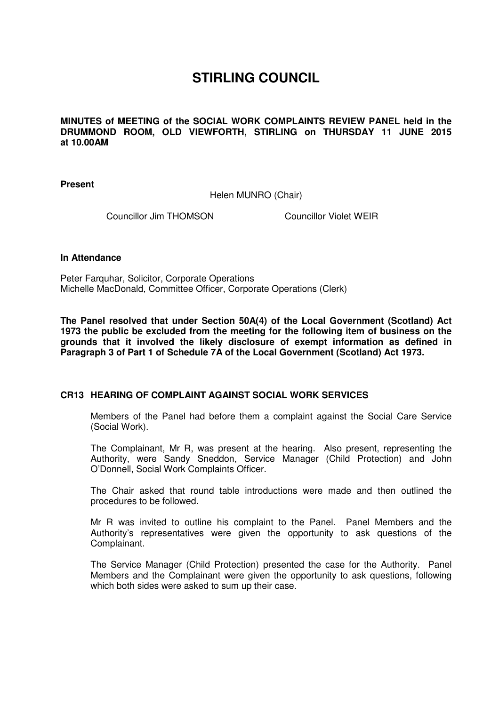## **STIRLING COUNCIL**

**MINUTES of MEETING of the SOCIAL WORK COMPLAINTS REVIEW PANEL held in the DRUMMOND ROOM, OLD VIEWFORTH, STIRLING on THURSDAY 11 JUNE 2015 at 10.00AM** 

**Present** 

Helen MUNRO (Chair)

Councillor Jim THOMSON Councillor Violet WEIR

## **In Attendance**

Peter Farquhar, Solicitor, Corporate Operations Michelle MacDonald, Committee Officer, Corporate Operations (Clerk)

**The Panel resolved that under Section 50A(4) of the Local Government (Scotland) Act 1973 the public be excluded from the meeting for the following item of business on the grounds that it involved the likely disclosure of exempt information as defined in Paragraph 3 of Part 1 of Schedule 7A of the Local Government (Scotland) Act 1973.** 

## **[CR13 HEARING OF COMPLAINT AGAINST SOCIAL WORK SERVICES](/forms/request.htm)**

Members of the Panel had before them a complaint against the Social Care Service (Social Work).

The Complainant, Mr R, was present at the hearing. Also present, representing the Authority, were Sandy Sneddon, Service Manager (Child Protection) and John O'Donnell, Social Work Complaints Officer.

The Chair asked that round table introductions were made and then outlined the procedures to be followed.

Mr R was invited to outline his complaint to the Panel. Panel Members and the Authority's representatives were given the opportunity to ask questions of the Complainant.

The Service Manager (Child Protection) presented the case for the Authority. Panel Members and the Complainant were given the opportunity to ask questions, following which both sides were asked to sum up their case.